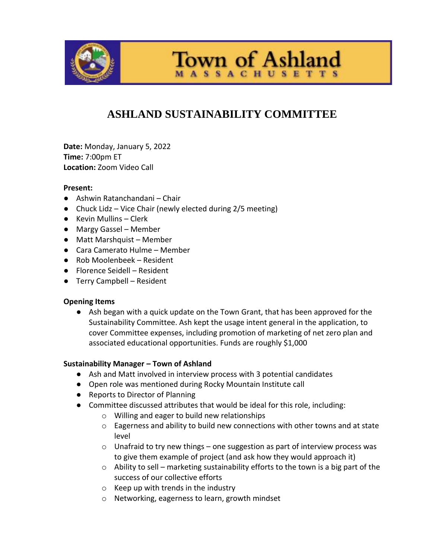

**Town of Ashland SSACHUSETTS** 

# **ASHLAND SUSTAINABILITY COMMITTEE**

**Date:** Monday, January 5, 2022 **Time:** 7:00pm ET **Location:** Zoom Video Call

#### **Present:**

- Ashwin Ratanchandani Chair
- Chuck Lidz Vice Chair (newly elected during 2/5 meeting)
- Kevin Mullins Clerk
- Margy Gassel Member
- Matt Marshquist Member
- Cara Camerato Hulme Member
- Rob Moolenbeek Resident
- Florence Seidell Resident
- Terry Campbell Resident

#### **Opening Items**

● Ash began with a quick update on the Town Grant, that has been approved for the Sustainability Committee. Ash kept the usage intent general in the application, to cover Committee expenses, including promotion of marketing of net zero plan and associated educational opportunities. Funds are roughly \$1,000

#### **Sustainability Manager – Town of Ashland**

- Ash and Matt involved in interview process with 3 potential candidates
- Open role was mentioned during Rocky Mountain Institute call
- Reports to Director of Planning
- Committee discussed attributes that would be ideal for this role, including:
	- o Willing and eager to build new relationships
	- o Eagerness and ability to build new connections with other towns and at state level
	- o Unafraid to try new things one suggestion as part of interview process was to give them example of project (and ask how they would approach it)
	- $\circ$  Ability to sell marketing sustainability efforts to the town is a big part of the success of our collective efforts
	- $\circ$  Keep up with trends in the industry
	- o Networking, eagerness to learn, growth mindset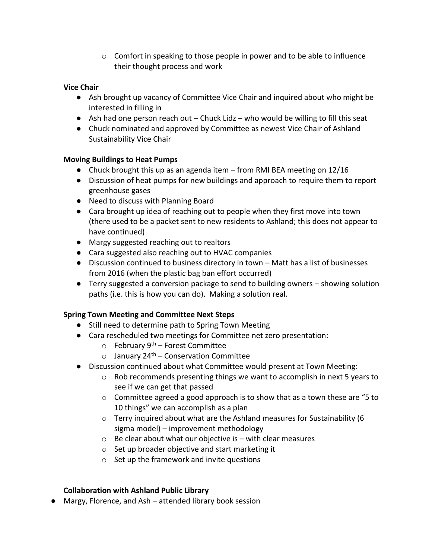$\circ$  Comfort in speaking to those people in power and to be able to influence their thought process and work

### **Vice Chair**

- Ash brought up vacancy of Committee Vice Chair and inquired about who might be interested in filling in
- $\bullet$  Ash had one person reach out Chuck Lidz who would be willing to fill this seat
- Chuck nominated and approved by Committee as newest Vice Chair of Ashland Sustainability Vice Chair

#### **Moving Buildings to Heat Pumps**

- Chuck brought this up as an agenda item from RMI BEA meeting on 12/16
- Discussion of heat pumps for new buildings and approach to require them to report greenhouse gases
- Need to discuss with Planning Board
- Cara brought up idea of reaching out to people when they first move into town (there used to be a packet sent to new residents to Ashland; this does not appear to have continued)
- Margy suggested reaching out to realtors
- Cara suggested also reaching out to HVAC companies
- Discussion continued to business directory in town Matt has a list of businesses from 2016 (when the plastic bag ban effort occurred)
- Terry suggested a conversion package to send to building owners showing solution paths (i.e. this is how you can do). Making a solution real.

# **Spring Town Meeting and Committee Next Steps**

- Still need to determine path to Spring Town Meeting
- Cara rescheduled two meetings for Committee net zero presentation:
	- $\circ$  February 9<sup>th</sup> Forest Committee
	- $\circ$  January 24<sup>th</sup> Conservation Committee
- Discussion continued about what Committee would present at Town Meeting:
	- $\circ$  Rob recommends presenting things we want to accomplish in next 5 years to see if we can get that passed
	- $\circ$  Committee agreed a good approach is to show that as a town these are "5 to 10 things" we can accomplish as a plan
	- o Terry inquired about what are the Ashland measures for Sustainability (6 sigma model) – improvement methodology
	- $\circ$  Be clear about what our objective is with clear measures
	- o Set up broader objective and start marketing it
	- o Set up the framework and invite questions

#### **Collaboration with Ashland Public Library**

● Margy, Florence, and Ash – attended library book session